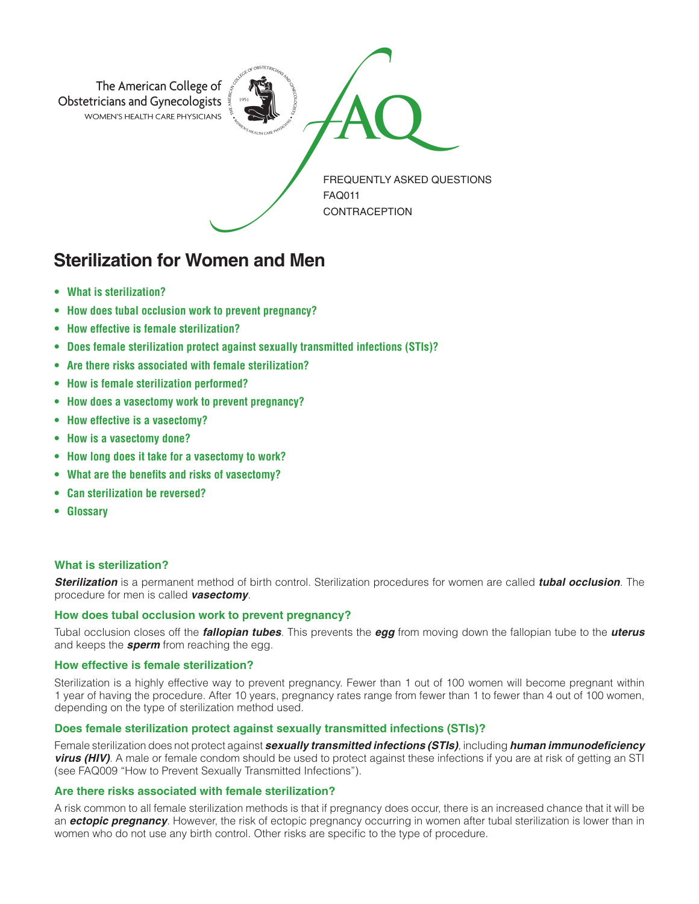

# **Sterilization for Women and Men**

- **• What is sterilization?**
- **How does tubal occlusion work to prevent pregnancy?**
- **How effective is female sterilization?**
- **Does female sterilization protect against sexually transmitted infections (STIs)?**
- **Are there risks associated with female sterilization?**
- **How is female sterilization performed?**
- **How does a vasectomy work to prevent pregnancy?**
- **How effective is a vasectomy?**
- **How is a vasectomy done?**
- **How long does it take for a vasectomy to work?**
- **What are the benefits and risks of vasectomy?**
- **Can sterilization be reversed?**
- **Glossary**

# **What is sterilization?**

*Sterilization* is a permanent method of birth control. Sterilization procedures for women are called *tubal occlusion*. The procedure for men is called *vasectomy*.

## **How does tubal occlusion work to prevent pregnancy?**

Tubal occlusion closes off the *fallopian tubes*. This prevents the *egg* from moving down the fallopian tube to the *uterus* and keeps the *sperm* from reaching the egg.

## **How effective is female sterilization?**

Sterilization is a highly effective way to prevent pregnancy. Fewer than 1 out of 100 women will become pregnant within 1 year of having the procedure. After 10 years, pregnancy rates range from fewer than 1 to fewer than 4 out of 100 women, depending on the type of sterilization method used.

## **Does female sterilization protect against sexually transmitted infections (STIs)?**

Female sterilization does not protect against *sexually transmitted infections (STIs)*, including *human immunodeficiency virus (HIV)*. A male or female condom should be used to protect against these infections if you are at risk of getting an STI (see FAQ009 "How to Prevent Sexually Transmitted Infections").

# **Are there risks associated with female sterilization?**

A risk common to all female sterilization methods is that if pregnancy does occur, there is an increased chance that it will be an *ectopic pregnancy*. However, the risk of ectopic pregnancy occurring in women after tubal sterilization is lower than in women who do not use any birth control. Other risks are specific to the type of procedure.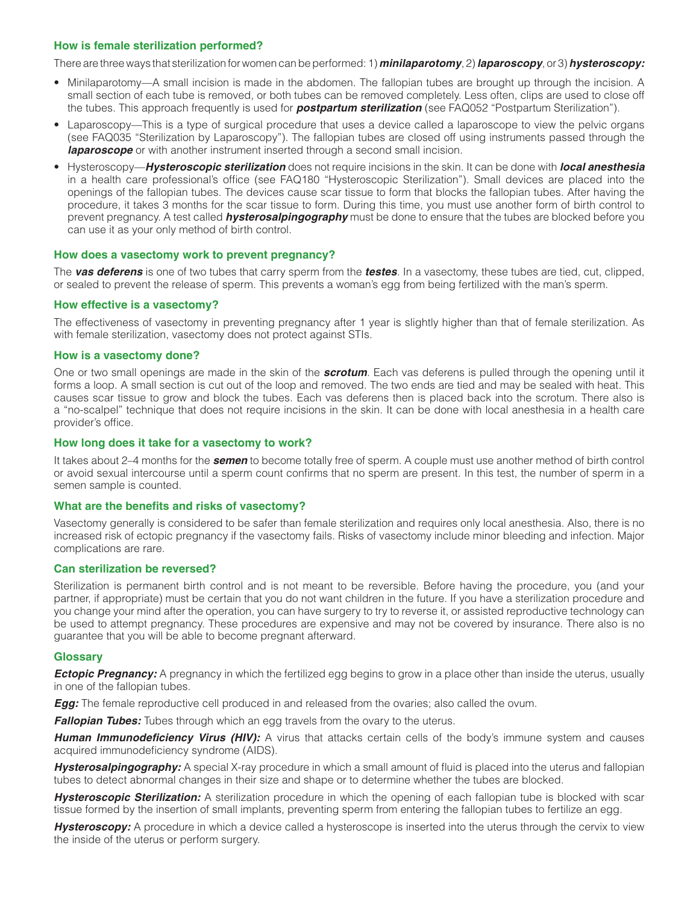## **How is female sterilization performed?**

There are three ways that sterilization for women can be performed: 1) *minilaparotomy*, 2) *laparoscopy*, or 3) *hysteroscopy:*

- Minilaparotomy—A small incision is made in the abdomen. The fallopian tubes are brought up through the incision. A small section of each tube is removed, or both tubes can be removed completely. Less often, clips are used to close off the tubes. This approach frequently is used for *postpartum sterilization* (see FAQ052 "Postpartum Sterilization").
- Laparoscopy—This is a type of surgical procedure that uses a device called a laparoscope to view the pelvic organs (see FAQ035 "Sterilization by Laparoscopy"). The fallopian tubes are closed off using instruments passed through the **laparoscope** or with another instrument inserted through a second small incision.
- Hysteroscopy—*Hysteroscopic sterilization* does not require incisions in the skin. It can be done with *local anesthesia* in a health care professional's office (see FAQ180 "Hysteroscopic Sterilization"). Small devices are placed into the openings of the fallopian tubes. The devices cause scar tissue to form that blocks the fallopian tubes. After having the procedure, it takes 3 months for the scar tissue to form. During this time, you must use another form of birth control to prevent pregnancy. A test called *hysterosalpingography* must be done to ensure that the tubes are blocked before you can use it as your only method of birth control.

#### **How does a vasectomy work to prevent pregnancy?**

The *vas deferens* is one of two tubes that carry sperm from the *testes*. In a vasectomy, these tubes are tied, cut, clipped, or sealed to prevent the release of sperm. This prevents a woman's egg from being fertilized with the man's sperm.

#### **How effective is a vasectomy?**

The effectiveness of vasectomy in preventing pregnancy after 1 year is slightly higher than that of female sterilization. As with female sterilization, vasectomy does not protect against STIs.

#### **How is a vasectomy done?**

One or two small openings are made in the skin of the *scrotum*. Each vas deferens is pulled through the opening until it forms a loop. A small section is cut out of the loop and removed. The two ends are tied and may be sealed with heat. This causes scar tissue to grow and block the tubes. Each vas deferens then is placed back into the scrotum. There also is a "no-scalpel" technique that does not require incisions in the skin. It can be done with local anesthesia in a health care provider's office.

#### **How long does it take for a vasectomy to work?**

It takes about 2–4 months for the *semen* to become totally free of sperm. A couple must use another method of birth control or avoid sexual intercourse until a sperm count confirms that no sperm are present. In this test, the number of sperm in a semen sample is counted.

#### **What are the benefits and risks of vasectomy?**

Vasectomy generally is considered to be safer than female sterilization and requires only local anesthesia. Also, there is no increased risk of ectopic pregnancy if the vasectomy fails. Risks of vasectomy include minor bleeding and infection. Major complications are rare.

#### **Can sterilization be reversed?**

Sterilization is permanent birth control and is not meant to be reversible. Before having the procedure, you (and your partner, if appropriate) must be certain that you do not want children in the future. If you have a sterilization procedure and you change your mind after the operation, you can have surgery to try to reverse it, or assisted reproductive technology can be used to attempt pregnancy. These procedures are expensive and may not be covered by insurance. There also is no guarantee that you will be able to become pregnant afterward.

#### **Glossary**

*Ectopic Pregnancy:* A pregnancy in which the fertilized egg begins to grow in a place other than inside the uterus, usually in one of the fallopian tubes.

*Egg:* The female reproductive cell produced in and released from the ovaries; also called the ovum.

*Fallopian Tubes:* Tubes through which an egg travels from the ovary to the uterus.

*Human Immunodeficiency Virus (HIV):* A virus that attacks certain cells of the body's immune system and causes acquired immunodeficiency syndrome (AIDS).

*Hysterosalpingography:* A special X-ray procedure in which a small amount of fluid is placed into the uterus and fallopian tubes to detect abnormal changes in their size and shape or to determine whether the tubes are blocked.

*Hysteroscopic Sterilization:* A sterilization procedure in which the opening of each fallopian tube is blocked with scar tissue formed by the insertion of small implants, preventing sperm from entering the fallopian tubes to fertilize an egg.

**Hysteroscopy:** A procedure in which a device called a hysteroscope is inserted into the uterus through the cervix to view the inside of the uterus or perform surgery.